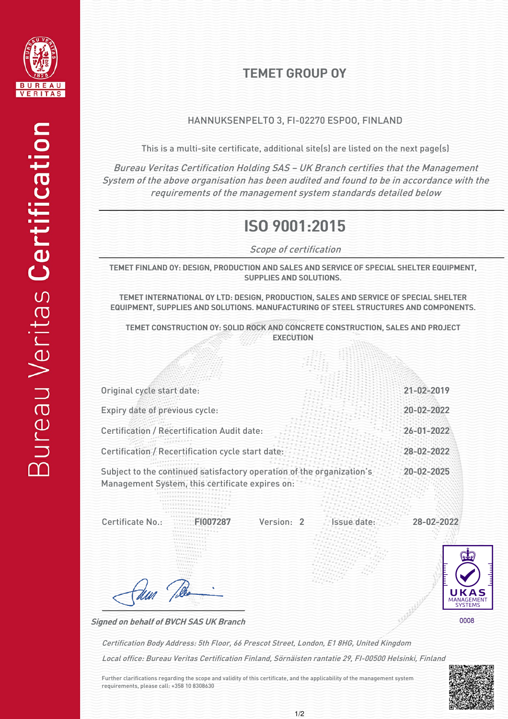

## TEMET GROUP OY

## HANNUKSENPELTO 3, FI-02270 ESPOO, FINLAND

This is a multi-site certificate, additional site(s) are listed on the next page(s)

Bureau Veritas Certification Holding SAS – UK Branch certifies that the Management System of the above organisation has been audited and found to be in accordance with the requirements of the management system standards detailed below

## ISO 9001:2015

Scope of certification

TEMET FINLAND OY: DESIGN, PRODUCTION AND SALES AND SERVICE OF SPECIAL SHELTER EQUIPMENT, SUPPLIES AND SOLUTIONS.

TEMET INTERNATIONAL OY LTD: DESIGN, PRODUCTION, SALES AND SERVICE OF SPECIAL SHELTER EQUIPMENT, SUPPLIES AND SOLUTIONS. MANUFACTURING OF STEEL STRUCTURES AND COMPONENTS.

TEMET CONSTRUCTION OY: SOLID ROCK AND CONCRETE CONSTRUCTION, SALES AND PROJECT EXECUTION

|                                                                                                                          | 21-02-2019       |
|--------------------------------------------------------------------------------------------------------------------------|------------------|
| Original cycle start date:                                                                                               |                  |
| Expiry date of previous cycle:                                                                                           | 20-02-2022       |
| <b>Certification / Recertification Audit date:</b>                                                                       | $26 - 01 - 2022$ |
| Certification / Recertification cycle start date:                                                                        | 28-02-2022       |
| Subject to the continued satisfactory operation of the organization's<br>Management System, this certificate expires on: | 20-02-2025       |

Version: 2 Issue date: Certificate No.: FI007287 Version: 2 Issue date: 28-02-2022



Signed on behalf of BVCH SAS UK Branch

dun !

Local office: Bureau Veritas Certification Finland, Sörnäisten rantatie 29, FI-00500 Helsinki, Finland Certification Body Address: 5th Floor, 66 Prescot Street, London, E1 8HG, United Kingdom

Further clarifications regarding the scope and validity of this certificate, and the applicability of the management system requirements, please call: +358 10 8308630